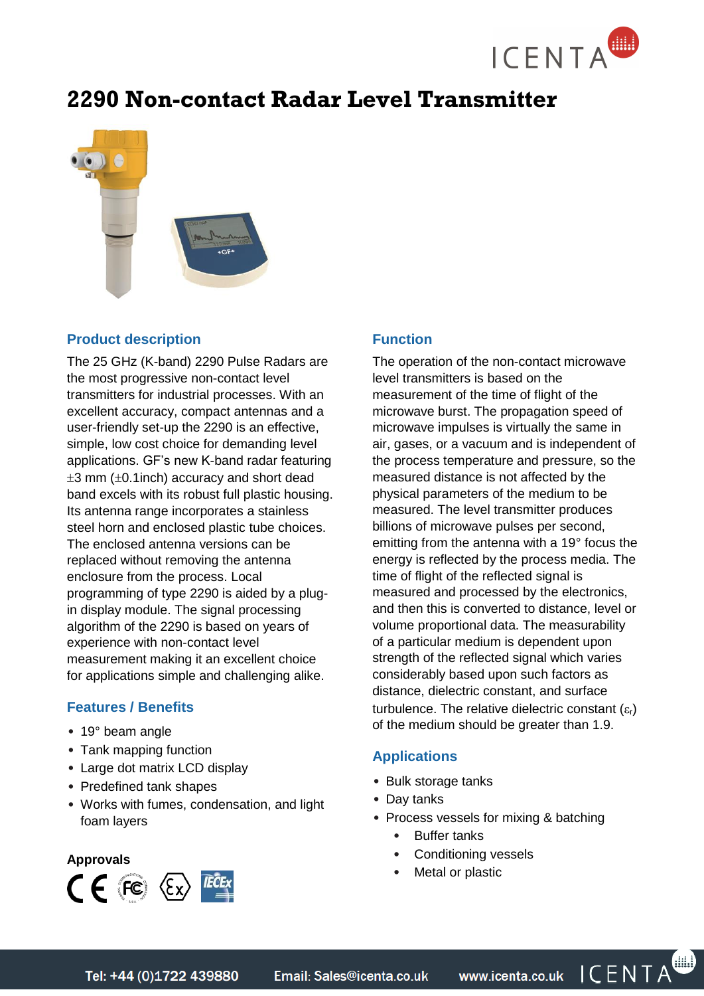

# **2290 Non-contact Radar Level Transmitter**



## **Product description**

The 25 GHz (K-band) 2290 Pulse Radars are the most progressive non-contact level transmitters for industrial processes. With an excellent accuracy, compact antennas and a user-friendly set-up the 2290 is an effective, simple, low cost choice for demanding level applications. GF's new K-band radar featuring  $\pm 3$  mm ( $\pm 0.1$ inch) accuracy and short dead band excels with its robust full plastic housing. Its antenna range incorporates a stainless steel horn and enclosed plastic tube choices. The enclosed antenna versions can be replaced without removing the antenna enclosure from the process. Local programming of type 2290 is aided by a plugin display module. The signal processing algorithm of the 2290 is based on years of experience with non-contact level measurement making it an excellent choice for applications simple and challenging alike.

## **Features / Benefits**

- 19° beam angle
- Tank mapping function
- Large dot matrix LCD display
- Predefined tank shapes
- Works with fumes, condensation, and light foam layers

## **Approvals**  $C \in \mathbb{F}$  (Fe)  $\langle \xi_X \rangle$  (Feex

## **Function**

The operation of the non-contact microwave level transmitters is based on the measurement of the time of flight of the microwave burst. The propagation speed of microwave impulses is virtually the same in air, gases, or a vacuum and is independent of the process temperature and pressure, so the measured distance is not affected by the physical parameters of the medium to be measured. The level transmitter produces billions of microwave pulses per second, emitting from the antenna with a 19° focus the energy is reflected by the process media. The time of flight of the reflected signal is measured and processed by the electronics, and then this is converted to distance, level or volume proportional data. The measurability of a particular medium is dependent upon strength of the reflected signal which varies considerably based upon such factors as distance, dielectric constant, and surface turbulence. The relative dielectric constant  $(\varepsilon_{r})$ of the medium should be greater than 1.9.

## **Applications**

- Bulk storage tanks
- Day tanks
- Process vessels for mixing & batching
	- **Buffer tanks**
	- Conditioning vessels
	- Metal or plastic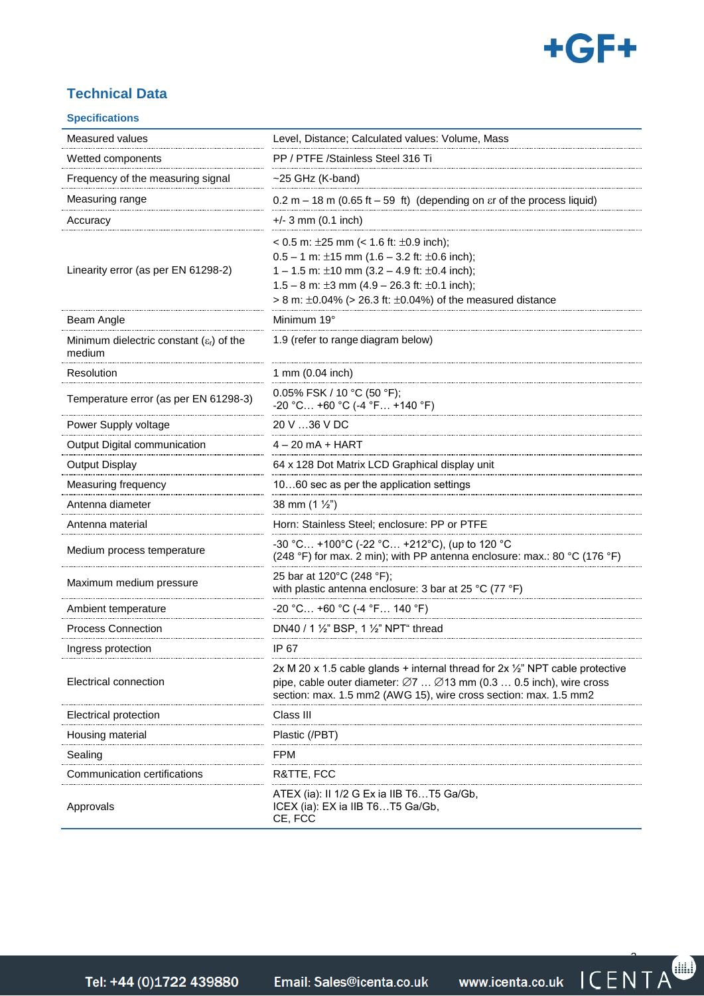

## **Technical Data**

#### **Specifications**

| Measured values                                                | Level, Distance; Calculated values: Volume, Mass                                                                                                                                                                                                                                                       |
|----------------------------------------------------------------|--------------------------------------------------------------------------------------------------------------------------------------------------------------------------------------------------------------------------------------------------------------------------------------------------------|
| Wetted components                                              | PP / PTFE /Stainless Steel 316 Ti                                                                                                                                                                                                                                                                      |
| Frequency of the measuring signal                              | $~25$ GHz (K-band)                                                                                                                                                                                                                                                                                     |
| Measuring range                                                | $0.2$ m – 18 m (0.65 ft – 59 ft) (depending on $\epsilon$ r of the process liquid)                                                                                                                                                                                                                     |
| Accuracy                                                       | $+/- 3$ mm (0.1 inch)                                                                                                                                                                                                                                                                                  |
| Linearity error (as per EN 61298-2)                            | < 0.5 m: $\pm 25$ mm (< 1.6 ft: $\pm 0.9$ inch);<br>$0.5 - 1$ m: ±15 mm (1.6 - 3.2 ft: ±0.6 inch);<br>1 – 1.5 m: $\pm$ 10 mm (3.2 – 4.9 ft: $\pm$ 0.4 inch);<br>1.5 – 8 m: $\pm 3$ mm (4.9 – 26.3 ft: $\pm 0.1$ inch);<br>$> 8$ m: $\pm 0.04\%$ ( $> 26.3$ ft: $\pm 0.04\%$ ) of the measured distance |
| Beam Angle                                                     | Minimum 19°                                                                                                                                                                                                                                                                                            |
| Minimum dielectric constant $(\varepsilon_1)$ of the<br>medium | 1.9 (refer to range diagram below)                                                                                                                                                                                                                                                                     |
| Resolution                                                     | 1 mm (0.04 inch)                                                                                                                                                                                                                                                                                       |
| Temperature error (as per EN 61298-3)                          | 0.05% FSK / 10 °C (50 °F);<br>$-20$ °C +60 °C (-4 °F +140 °F)                                                                                                                                                                                                                                          |
| Power Supply voltage                                           | 20 V …36 V DC                                                                                                                                                                                                                                                                                          |
| Output Digital communication                                   | 4 – 20 mA + HART                                                                                                                                                                                                                                                                                       |
| Output Display                                                 | 64 x 128 Dot Matrix LCD Graphical display unit                                                                                                                                                                                                                                                         |
| Measuring frequency                                            | 1060 sec as per the application settings                                                                                                                                                                                                                                                               |
| Antenna diameter                                               | 38 mm $(1 \frac{1}{2})$                                                                                                                                                                                                                                                                                |
| Antenna material                                               | Horn: Stainless Steel; enclosure: PP or PTFE                                                                                                                                                                                                                                                           |
| Medium process temperature                                     | -30 °C +100°C (-22 °C +212°C), (up to 120 °C<br>(248 °F) for max. 2 min); with PP antenna enclosure: max.: 80 °C (176 °F)                                                                                                                                                                              |
| Maximum medium pressure                                        | 25 bar at 120°C (248 °F);<br>with plastic antenna enclosure: 3 bar at 25 °C (77 °F)                                                                                                                                                                                                                    |
| Ambient temperature                                            | $-20$ °C +60 °C (-4 °F 140 °F)                                                                                                                                                                                                                                                                         |
| <b>Process Connection</b>                                      | DN40 / 1 1/2" BSP, 1 1/2" NPT" thread                                                                                                                                                                                                                                                                  |
| Ingress protection                                             | IP 67                                                                                                                                                                                                                                                                                                  |
| Electrical connection                                          | 2x M 20 x 1.5 cable glands + internal thread for $2x \frac{1}{2}$ " NPT cable protective<br>pipe, cable outer diameter: $\varnothing$ 7 $\varnothing$ 13 mm (0.3  0.5 inch), wire cross<br>section: max. 1.5 mm2 (AWG 15), wire cross section: max. 1.5 mm2                                            |
| Electrical protection                                          | Class III                                                                                                                                                                                                                                                                                              |
| Housing material                                               | Plastic (/PBT)                                                                                                                                                                                                                                                                                         |
| Sealing                                                        | FPM                                                                                                                                                                                                                                                                                                    |
| Communication certifications                                   | R&TTE, FCC                                                                                                                                                                                                                                                                                             |
| Approvals                                                      | ATEX (ia): II 1/2 G Ex ia IIB T6T5 Ga/Gb,<br>ICEX (ia): EX ia IIB T6T5 Ga/Gb,<br>CE, FCC                                                                                                                                                                                                               |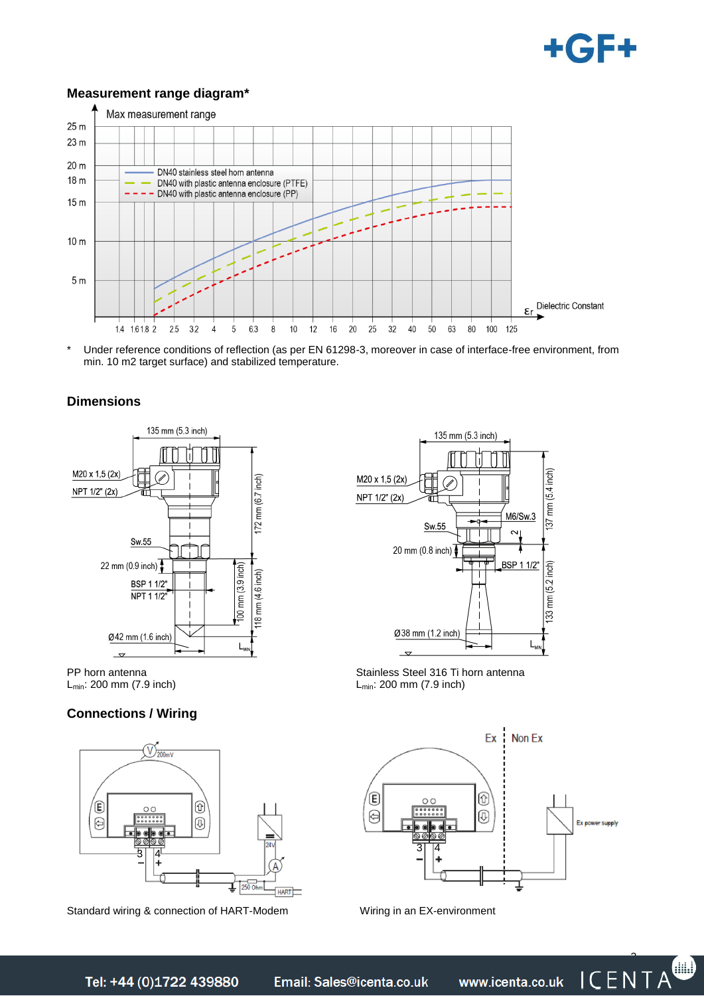

#### **Measurement range diagram\***



Under reference conditions of reflection (as per EN 61298-3, moreover in case of interface-free environment, from min. 10 m2 target surface) and stabilized temperature.

#### **Dimensions**



PP horn antenna Lmin: 200 mm (7.9 inch)

#### **Connections / Wiring**



Standard wiring & connection of HART-Modem Wiring in an EX-environment



Stainless Steel 316 Ti horn antenna Lmin: 200 mm (7.9 inch)



Tel: +44 (0)1722 439880

Email: Sales@icenta.co.uk

www.icenta.co.uk

ICENTA